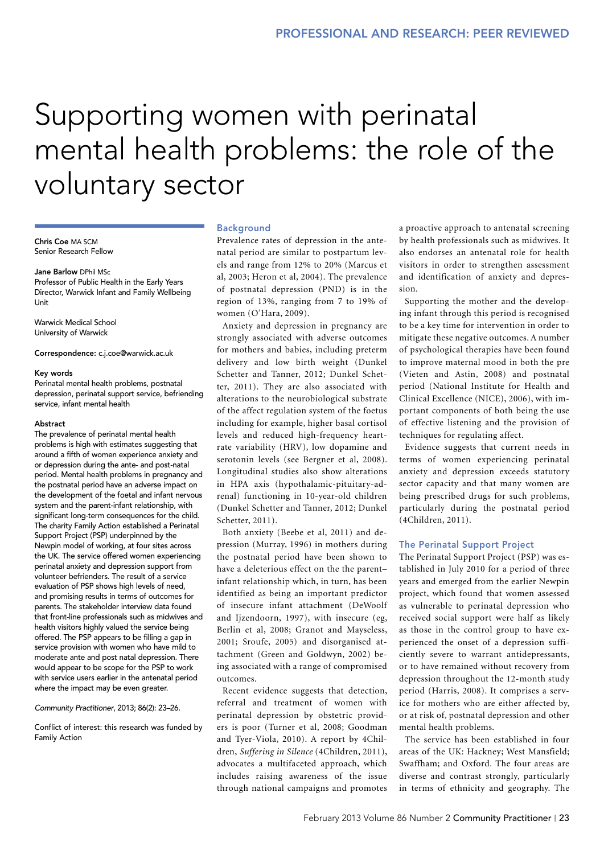# Supporting women with perinatal mental health problems: the role of the voluntary sector

Chris Coe MA SCM Senior Research Fellow

#### Jane Barlow DPhil MSc

Professor of Public Health in the Early Years Director, Warwick Infant and Family Wellbeing Unit

Warwick Medical School University of Warwick

#### Correspondence: c.j.coe@warwick.ac.uk

#### Key words

Perinatal mental health problems, postnatal depression, perinatal support service, befriending service, infant mental health

#### Abstract

The prevalence of perinatal mental health problems is high with estimates suggesting that around a fifth of women experience anxiety and or depression during the ante- and post-natal period. Mental health problems in pregnancy and the postnatal period have an adverse impact on the development of the foetal and infant nervous system and the parent-infant relationship, with significant long-term consequences for the child. The charity Family Action established a Perinatal Support Project (PSP) underpinned by the Newpin model of working, at four sites across the UK. The service offered women experiencing perinatal anxiety and depression support from volunteer befrienders. The result of a service evaluation of PSP shows high levels of need, and promising results in terms of outcomes for parents. The stakeholder interview data found that front-line professionals such as midwives and health visitors highly valued the service being offered. The PSP appears to be filling a gap in service provision with women who have mild to moderate ante and post natal depression. There would appear to be scope for the PSP to work with service users earlier in the antenatal period where the impact may be even greater.

#### *Community Practitioner*, 2013; 86(2): 23–26.

Conflict of interest: this research was funded by Family Action

#### Background

Prevalence rates of depression in the antenatal period are similar to postpartum levels and range from 12% to 20% (Marcus et al, 2003; Heron et al, 2004). The prevalence of postnatal depression (PND) is in the region of 13%, ranging from 7 to 19% of women (O'Hara, 2009).

Anxiety and depression in pregnancy are strongly associated with adverse outcomes for mothers and babies, including preterm delivery and low birth weight (Dunkel Schetter and Tanner, 2012; Dunkel Schetter, 2011). They are also associated with alterations to the neurobiological substrate of the affect regulation system of the foetus including for example, higher basal cortisol levels and reduced high-frequency heartrate variability (HRV), low dopamine and serotonin levels (see Bergner et al, 2008). Longitudinal studies also show alterations in HPA axis (hypothalamic-pituitary-adrenal) functioning in 10-year-old children (Dunkel Schetter and Tanner, 2012; Dunkel Schetter, 2011).

Both anxiety (Beebe et al, 2011) and depression (Murray, 1996) in mothers during the postnatal period have been shown to have a deleterious effect on the the parent– infant relationship which, in turn, has been identified as being an important predictor of insecure infant attachment (DeWoolf and Ijzendoorn, 1997), with insecure (eg, Berlin et al, 2008; Granot and Mayseless, 2001; Sroufe, 2005) and disorganised attachment (Green and Goldwyn, 2002) being associated with a range of compromised outcomes.

Recent evidence suggests that detection, referral and treatment of women with perinatal depression by obstetric providers is poor (Turner et al, 2008; Goodman and Tyer-Viola, 2010). A report by 4Children, *Suffering in Silence* (4Children, 2011), advocates a multifaceted approach, which includes raising awareness of the issue through national campaigns and promotes

a proactive approach to antenatal screening by health professionals such as midwives. It also endorses an antenatal role for health visitors in order to strengthen assessment and identification of anxiety and depression.

Supporting the mother and the developing infant through this period is recognised to be a key time for intervention in order to mitigate these negative outcomes. A number of psychological therapies have been found to improve maternal mood in both the pre (Vieten and Astin, 2008) and postnatal period (National Institute for Health and Clinical Excellence (NICE), 2006), with important components of both being the use of effective listening and the provision of techniques for regulating affect.

Evidence suggests that current needs in terms of women experiencing perinatal anxiety and depression exceeds statutory sector capacity and that many women are being prescribed drugs for such problems, particularly during the postnatal period (4Children, 2011).

#### The Perinatal Support Project

The Perinatal Support Project (PSP) was established in July 2010 for a period of three years and emerged from the earlier Newpin project, which found that women assessed as vulnerable to perinatal depression who received social support were half as likely as those in the control group to have experienced the onset of a depression sufficiently severe to warrant antidepressants, or to have remained without recovery from depression throughout the 12-month study period (Harris, 2008). It comprises a service for mothers who are either affected by, or at risk of, postnatal depression and other mental health problems.

The service has been established in four areas of the UK: Hackney; West Mansfield; Swaffham; and Oxford. The four areas are diverse and contrast strongly, particularly in terms of ethnicity and geography. The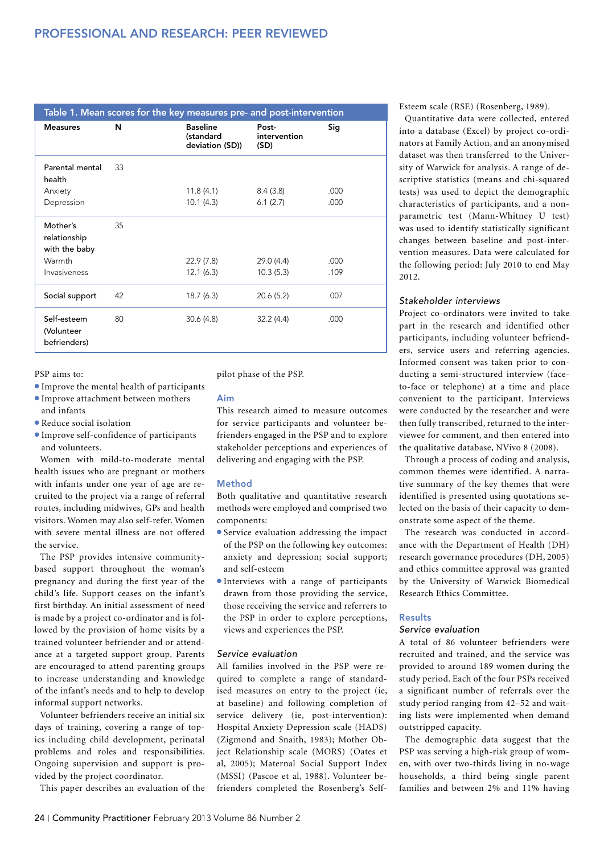| Table 1. Mean scores for the key measures pre- and post-intervention |    |                                                 |                               |      |
|----------------------------------------------------------------------|----|-------------------------------------------------|-------------------------------|------|
| <b>Measures</b>                                                      | N  | <b>Baseline</b><br>(standard<br>deviation (SD)) | Post-<br>intervention<br>(SD) | Sig  |
| Parental mental<br>health                                            | 33 |                                                 |                               |      |
| Anxiety                                                              |    | 11.8(4.1)                                       | 8.4(3.8)                      | .000 |
| Depression                                                           |    | 10.1(4.3)                                       | 6.1(2.7)                      | .000 |
| Mother's<br>relationship<br>with the baby                            | 35 |                                                 |                               |      |
| Warmth                                                               |    | 22.9 (7.8)                                      | 29.0 (4.4)                    | .000 |
| Invasiveness                                                         |    | 12.1(6.3)                                       | 10.3(5.3)                     | .109 |
| Social support                                                       | 42 | 18.7(6.3)                                       | 20.6(5.2)                     | .007 |
| Self-esteem<br>(Volunteer<br>befrienders)                            | 80 | 30.6(4.8)                                       | 32.2(4.4)                     | .000 |

PSP aims to:

- <sup>l</sup>Improve the mental health of participants
- <sup>l</sup>Improve attachment between mothers and infants
- $\bullet$  Reduce social isolation
- <sup>l</sup>Improve self-confidence of participants and volunteers.

Women with mild-to-moderate mental health issues who are pregnant or mothers with infants under one year of age are recruited to the project via a range of referral routes, including midwives, GPs and health visitors. Women may also self-refer. Women with severe mental illness are not offered the service.

The PSP provides intensive communitybased support throughout the woman's pregnancy and during the first year of the child's life. Support ceases on the infant's first birthday. An initial assessment of need is made by a project co-ordinator and is followed by the provision of home visits by a trained volunteer befriender and or attendance at a targeted support group. Parents are encouraged to attend parenting groups to increase understanding and knowledge of the infant's needs and to help to develop informal support networks.

Volunteer befrienders receive an initial six days of training, covering a range of topics including child development, perinatal problems and roles and responsibilities. Ongoing supervision and support is provided by the project coordinator.

This paper describes an evaluation of the

pilot phase of the PSP.

Aim

This research aimed to measure outcomes for service participants and volunteer befrienders engaged in the PSP and to explore stakeholder perceptions and experiences of delivering and engaging with the PSP.

# Method

Both qualitative and quantitative research methods were employed and comprised two components:

- $\bullet$  Service evaluation addressing the impact of the PSP on the following key outcomes: anxiety and depression; social support; and self-esteem
- **Interviews with a range of participants** drawn from those providing the service, those receiving the service and referrers to the PSP in order to explore perceptions, views and experiences the PSP.

# *Service evaluation*

All families involved in the PSP were required to complete a range of standardised measures on entry to the project (ie, at baseline) and following completion of service delivery (ie, post-intervention): Hospital Anxiety Depression scale (HADS) (Zigmond and Snaith, 1983); Mother Object Relationship scale (MORS) (Oates et al, 2005); Maternal Social Support Index (MSSI) (Pascoe et al, 1988). Volunteer befrienders completed the Rosenberg's SelfEsteem scale (RSE) (Rosenberg, 1989).

Quantitative data were collected, entered into a database (Excel) by project co-ordinators at Family Action, and an anonymised dataset was then transferred to the University of Warwick for analysis. A range of descriptive statistics (means and chi-squared tests) was used to depict the demographic characteristics of participants, and a nonparametric test (Mann-Whitney U test) was used to identify statistically significant changes between baseline and post-intervention measures. Data were calculated for the following period: July 2010 to end May 2012.

#### *Stakeholder interviews*

Project co-ordinators were invited to take part in the research and identified other participants, including volunteer befrienders, service users and referring agencies. Informed consent was taken prior to conducting a semi-structured interview (faceto-face or telephone) at a time and place convenient to the participant. Interviews were conducted by the researcher and were then fully transcribed, returned to the interviewee for comment, and then entered into the qualitative database, NVivo 8 (2008).

Through a process of coding and analysis, common themes were identified. A narrative summary of the key themes that were identified is presented using quotations selected on the basis of their capacity to demonstrate some aspect of the theme.

The research was conducted in accordance with the Department of Health (DH) research governance procedures (DH, 2005) and ethics committee approval was granted by the University of Warwick Biomedical Research Ethics Committee.

# Results

# *Service evaluation*

A total of 86 volunteer befrienders were recruited and trained, and the service was provided to around 189 women during the study period. Each of the four PSPs received a significant number of referrals over the study period ranging from 42–52 and waiting lists were implemented when demand outstripped capacity.

The demographic data suggest that the PSP was serving a high-risk group of women, with over two-thirds living in no-wage households, a third being single parent families and between 2% and 11% having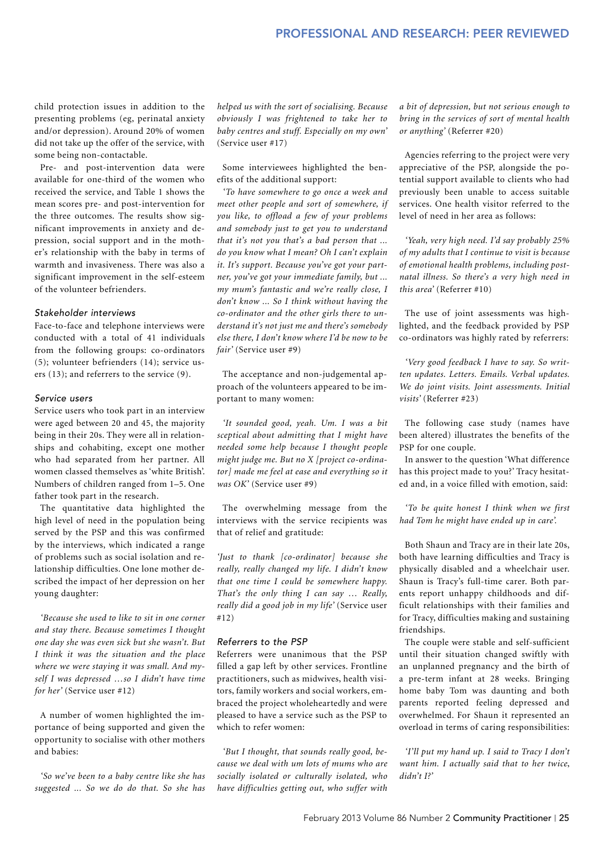child protection issues in addition to the presenting problems (eg, perinatal anxiety and/or depression). Around 20% of women did not take up the offer of the service, with some being non-contactable.

Pre- and post-intervention data were available for one-third of the women who received the service, and Table 1 shows the mean scores pre- and post-intervention for the three outcomes. The results show significant improvements in anxiety and depression, social support and in the mother's relationship with the baby in terms of warmth and invasiveness. There was also a significant improvement in the self-esteem of the volunteer befrienders.

#### *Stakeholder interviews*

Face-to-face and telephone interviews were conducted with a total of 41 individuals from the following groups: co-ordinators (5); volunteer befrienders (14); service users (13); and referrers to the service (9).

#### *Service users*

Service users who took part in an interview were aged between 20 and 45, the majority being in their 20s. They were all in relationships and cohabiting, except one mother who had separated from her partner. All women classed themselves as 'white British'. Numbers of children ranged from 1–5. One father took part in the research.

The quantitative data highlighted the high level of need in the population being served by the PSP and this was confirmed by the interviews, which indicated a range of problems such as social isolation and relationship difficulties. One lone mother described the impact of her depression on her young daughter:

*'Because she used to like to sit in one corner and stay there. Because sometimes I thought one day she was even sick but she wasn't. But I think it was the situation and the place where we were staying it was small. And myself I was depressed …so I didn't have time for her'* (Service user #12)

A number of women highlighted the importance of being supported and given the opportunity to socialise with other mothers and babies:

*'So we've been to a baby centre like she has suggested ... So we do do that. So she has* 

*helped us with the sort of socialising. Because obviously I was frightened to take her to baby centres and stuff. Especially on my own'*  (Service user #17)

Some interviewees highlighted the benefits of the additional support:

*'To have somewhere to go once a week and meet other people and sort of somewhere, if you like, to offload a few of your problems and somebody just to get you to understand that it's not you that's a bad person that ... do you know what I mean? Oh I can't explain it. It's support. Because you've got your partner, you've got your immediate family, but ... my mum's fantastic and we're really close, I don't know ... So I think without having the co-ordinator and the other girls there to understand it's not just me and there's somebody else there, I don't know where I'd be now to be fair'* (Service user #9)

The acceptance and non-judgemental approach of the volunteers appeared to be important to many women:

*'It sounded good, yeah. Um. I was a bit sceptical about admitting that I might have needed some help because I thought people might judge me. But no X [project co-ordinator] made me feel at ease and everything so it was OK'* (Service user #9)

The overwhelming message from the interviews with the service recipients was that of relief and gratitude:

*'Just to thank [co-ordinator] because she really, really changed my life. I didn't know that one time I could be somewhere happy. That's the only thing I can say … Really, really did a good job in my life'* (Service user #12)

# *Referrers to the PSP*

Referrers were unanimous that the PSP filled a gap left by other services. Frontline practitioners, such as midwives, health visitors, family workers and social workers, embraced the project wholeheartedly and were pleased to have a service such as the PSP to which to refer women:

*'But I thought, that sounds really good, because we deal with um lots of mums who are socially isolated or culturally isolated, who have difficulties getting out, who suffer with* 

*a bit of depression, but not serious enough to bring in the services of sort of mental health or anything'* (Referrer #20)

Agencies referring to the project were very appreciative of the PSP, alongside the potential support available to clients who had previously been unable to access suitable services. One health visitor referred to the level of need in her area as follows:

*'Yeah, very high need. I'd say probably 25% of my adults that I continue to visit is because of emotional health problems, including postnatal illness. So there's a very high need in this area'* (Referrer #10)

The use of joint assessments was highlighted, and the feedback provided by PSP co-ordinators was highly rated by referrers:

*'Very good feedback I have to say. So written updates. Letters. Emails. Verbal updates. We do joint visits. Joint assessments. Initial visits'* (Referrer #23)

The following case study (names have been altered) illustrates the benefits of the PSP for one couple.

In answer to the question 'What difference has this project made to you?' Tracy hesitated and, in a voice filled with emotion, said:

*'To be quite honest I think when we first had Tom he might have ended up in care'.* 

Both Shaun and Tracy are in their late 20s, both have learning difficulties and Tracy is physically disabled and a wheelchair user. Shaun is Tracy's full-time carer. Both parents report unhappy childhoods and difficult relationships with their families and for Tracy, difficulties making and sustaining friendships.

The couple were stable and self-sufficient until their situation changed swiftly with an unplanned pregnancy and the birth of a pre-term infant at 28 weeks. Bringing home baby Tom was daunting and both parents reported feeling depressed and overwhelmed. For Shaun it represented an overload in terms of caring responsibilities:

*'I'll put my hand up. I said to Tracy I don't want him. I actually said that to her twice*, *didn't I?'*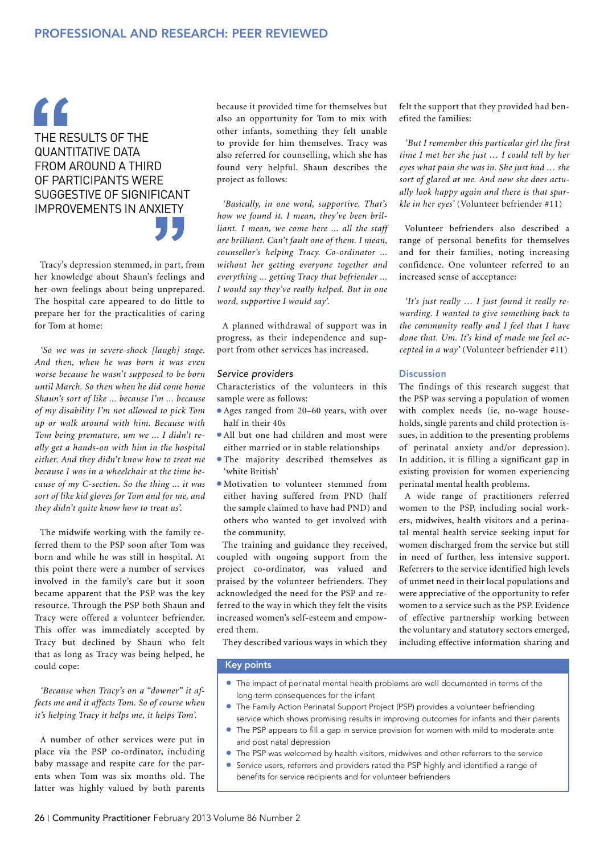# $\epsilon$ The results of the quantitative data from around a third of participants were suggestive of significant improvements in anxiety

Tracy's depression stemmed, in part, from her knowledge about Shaun's feelings and her own feelings about being unprepared. The hospital care appeared to do little to prepare her for the practicalities of caring for Tom at home:

*'So we was in severe-shock [laugh] stage. And then, when he was born it was even worse because he wasn't supposed to be born until March. So then when he did come home Shaun's sort of like ... because I'm ... because of my disability I'm not allowed to pick Tom up or walk around with him. Because with Tom being premature, um we ... I didn't really get a hands-on with him in the hospital either. And they didn't know how to treat me because I was in a wheelchair at the time because of my C-section. So the thing ... it was sort of like kid gloves for Tom and for me, and they didn't quite know how to treat us'.* 

The midwife working with the family referred them to the PSP soon after Tom was born and while he was still in hospital. At this point there were a number of services involved in the family's care but it soon became apparent that the PSP was the key resource. Through the PSP both Shaun and Tracy were offered a volunteer befriender. This offer was immediately accepted by Tracy but declined by Shaun who felt that as long as Tracy was being helped, he could cope:

*'Because when Tracy's on a "downer" it affects me and it affects Tom. So of course when it's helping Tracy it helps me, it helps Tom'.* 

A number of other services were put in place via the PSP co-ordinator, including baby massage and respite care for the parents when Tom was six months old. The latter was highly valued by both parents because it provided time for themselves but also an opportunity for Tom to mix with other infants, something they felt unable to provide for him themselves. Tracy was also referred for counselling, which she has found very helpful. Shaun describes the project as follows:

*'Basically, in one word, supportive. That's how we found it. I mean, they've been brilliant. I mean, we come here ... all the staff are brilliant. Can't fault one of them. I mean, counsellor's helping Tracy. Co-ordinator ... without her getting everyone together and everything ... getting Tracy that befriender ... I would say they've really helped. But in one word, supportive I would say'.*

A planned withdrawal of support was in progress, as their independence and support from other services has increased.

# *Service providers*

Characteristics of the volunteers in this sample were as follows:

- Ages ranged from 20–60 years, with over half in their 40s
- All but one had children and most were either married or in stable relationships
- **The majority described themselves as** 'white British'
- $\bullet$  Motivation to volunteer stemmed from either having suffered from PND (half the sample claimed to have had PND) and others who wanted to get involved with the community.

The training and guidance they received, coupled with ongoing support from the project co-ordinator, was valued and praised by the volunteer befrienders. They acknowledged the need for the PSP and referred to the way in which they felt the visits increased women's self-esteem and empowered them.

They described various ways in which they

#### Key points

- The impact of perinatal mental health problems are well documented in terms of the long-term consequences for the infant
- **•** The Family Action Perinatal Support Project (PSP) provides a volunteer befriending service which shows promising results in improving outcomes for infants and their parents
- The PSP appears to fill a gap in service provision for women with mild to moderate ante and post natal depression
- The PSP was welcomed by health visitors, midwives and other referrers to the service
- **•** Service users, referrers and providers rated the PSP highly and identified a range of benefits for service recipients and for volunteer befrienders

felt the support that they provided had benefited the families:

*'But I remember this particular girl the first time I met her she just … I could tell by her eyes what pain she was in. She just had … she sort of glared at me. And now she does actually look happy again and there is that sparkle in her eyes'* (Volunteer befriender #11)

Volunteer befrienders also described a range of personal benefits for themselves and for their families, noting increasing confidence. One volunteer referred to an increased sense of acceptance:

*'It's just really … I just found it really rewarding. I wanted to give something back to the community really and I feel that I have done that. Um. It's kind of made me feel accepted in a way'* (Volunteer befriender #11)

# Discussion

The findings of this research suggest that the PSP was serving a population of women with complex needs (ie, no-wage households, single parents and child protection issues, in addition to the presenting problems of perinatal anxiety and/or depression). In addition, it is filling a significant gap in existing provision for women experiencing perinatal mental health problems.

A wide range of practitioners referred women to the PSP, including social workers, midwives, health visitors and a perinatal mental health service seeking input for women discharged from the service but still in need of further, less intensive support. Referrers to the service identified high levels of unmet need in their local populations and were appreciative of the opportunity to refer women to a service such as the PSP. Evidence of effective partnership working between the voluntary and statutory sectors emerged, including effective information sharing and